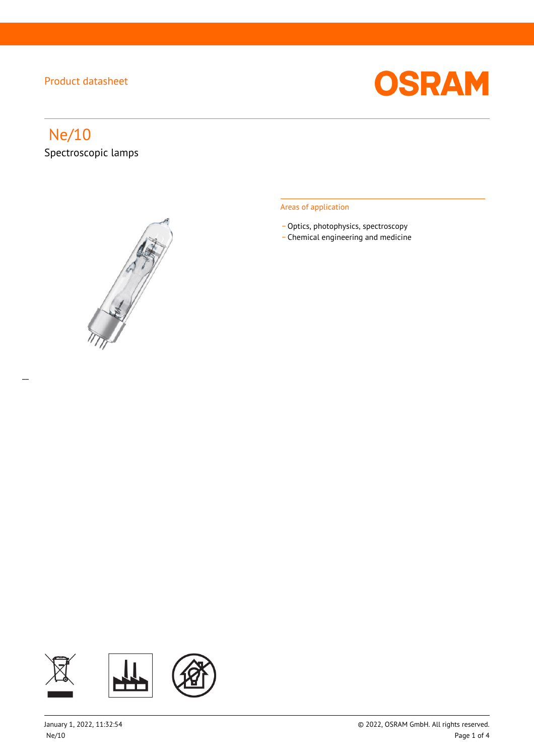

# Ne/10

 $\overline{a}$ 

Spectroscopic lamps



#### Areas of application

- Optics, photophysics, spectroscopy
- \_ Chemical engineering and medicine

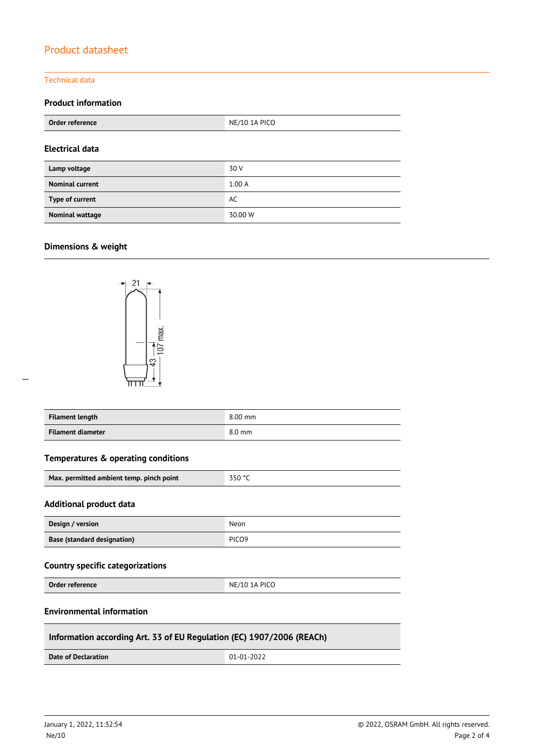#### Technical data

### **Product information**

| Order reference        | NE/10 1A PICO |  |
|------------------------|---------------|--|
| <b>Electrical data</b> |               |  |
| Lamp voltage           | 30 V          |  |
| <b>Nominal current</b> | 1.00A         |  |
| Type of current        | AC            |  |
| <b>Nominal wattage</b> | 30.00 W       |  |

#### **Dimensions & weight**

 $\overline{a}$ 



| Filament length   | $8.00$ mm |
|-------------------|-----------|
| Filament diameter | 8.0 mm    |

#### **Temperatures & operating conditions**

| Max. permitted ambient temp. pinch point | 350 °C |
|------------------------------------------|--------|
|------------------------------------------|--------|

#### **Additional product data**

| Design / version                   | Neon              |
|------------------------------------|-------------------|
| <b>Base (standard designation)</b> | PICO <sub>9</sub> |

#### **Country specific categorizations**

**Order reference** NE/10 1A PICO

#### **Environmental information**

#### **Information according Art. 33 of EU Regulation (EC) 1907/2006 (REACh)**

**Date of Declaration**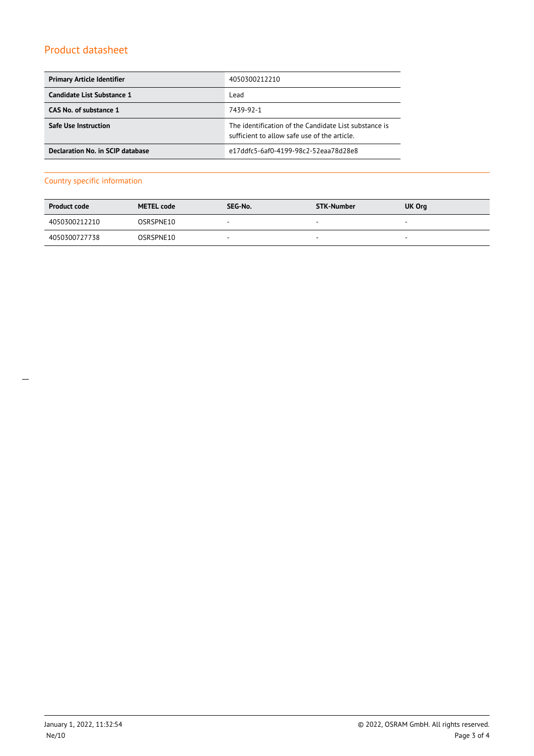| <b>Primary Article Identifier</b> | 4050300212210                                                                                         |
|-----------------------------------|-------------------------------------------------------------------------------------------------------|
| Candidate List Substance 1        | Lead                                                                                                  |
| CAS No. of substance 1            | 7439-92-1                                                                                             |
| <b>Safe Use Instruction</b>       | The identification of the Candidate List substance is<br>sufficient to allow safe use of the article. |
| Declaration No. in SCIP database  | e17ddfc5-6af0-4199-98c2-52eaa78d28e8                                                                  |

#### Country specific information

| <b>Product code</b> | <b>METEL code</b> | SEG-No.                  | STK-Number               | UK Org                   |
|---------------------|-------------------|--------------------------|--------------------------|--------------------------|
| 4050300212210       | OSRSPNE10         | $\overline{\phantom{a}}$ | $\overline{\phantom{a}}$ | $\overline{\phantom{a}}$ |
| 4050300727738       | OSRSPNE10         | $\overline{\phantom{a}}$ | $\sim$                   | $\overline{\phantom{a}}$ |